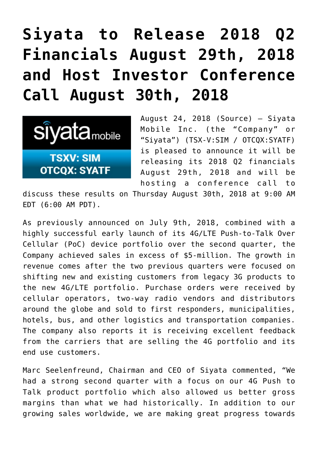## **[Siyata to Release 2018 Q2](https://investorintel.com/markets/technology/technology-news/siyata-release-2018-q2-financials-august-29th-2018-host-investor-conference-call-august-30th-2018/) [Financials August 29th, 2018](https://investorintel.com/markets/technology/technology-news/siyata-release-2018-q2-financials-august-29th-2018-host-investor-conference-call-august-30th-2018/) [and Host Investor Conference](https://investorintel.com/markets/technology/technology-news/siyata-release-2018-q2-financials-august-29th-2018-host-investor-conference-call-august-30th-2018/) [Call August 30th, 2018](https://investorintel.com/markets/technology/technology-news/siyata-release-2018-q2-financials-august-29th-2018-host-investor-conference-call-august-30th-2018/)**



August 24, 2018 ([Source\)](https://investorintel.com/iintel-members/siyata-mobile-inc-2/) — Siyata Mobile Inc. (the "Company" or "Siyata") (TSX-V:SIM / OTCQX:SYATF) is pleased to announce it will be releasing its 2018 Q2 financials August 29th, 2018 and will be hosting a conference call to

discuss these results on Thursday August 30th, 2018 at 9:00 AM EDT (6:00 AM PDT).

As previously announced on July 9th, 2018, combined with a highly successful early launch of its 4G/LTE Push-to-Talk Over Cellular (PoC) device portfolio over the second quarter, the Company achieved sales in excess of \$5-million. The growth in revenue comes after the two previous quarters were focused on shifting new and existing customers from legacy 3G products to the new 4G/LTE portfolio. Purchase orders were received by cellular operators, two-way radio vendors and distributors around the globe and sold to first responders, municipalities, hotels, bus, and other logistics and transportation companies. The company also reports it is receiving excellent feedback from the carriers that are selling the 4G portfolio and its end use customers.

Marc Seelenfreund, Chairman and CEO of Siyata commented, "We had a strong second quarter with a focus on our 4G Push to Talk product portfolio which also allowed us better gross margins than what we had historically. In addition to our growing sales worldwide, we are making great progress towards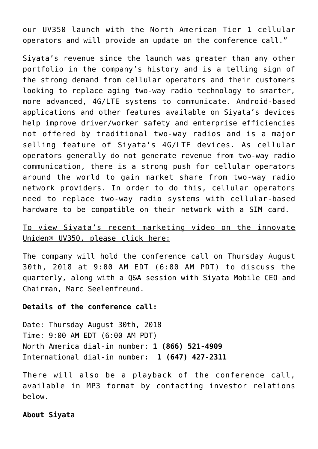our UV350 launch with the North American Tier 1 cellular operators and will provide an update on the conference call."

Siyata's revenue since the launch was greater than any other portfolio in the company's history and is a telling sign of the strong demand from cellular operators and their customers looking to replace aging two-way radio technology to smarter, more advanced, 4G/LTE systems to communicate. Android-based applications and other features available on Siyata's devices help improve driver/worker safety and enterprise efficiencies not offered by traditional two-way radios and is a major selling feature of Siyata's 4G/LTE devices. As cellular operators generally do not generate revenue from two-way radio communication, there is a strong push for cellular operators around the world to gain market share from two-way radio network providers. In order to do this, cellular operators need to replace two-way radio systems with cellular-based hardware to be compatible on their network with a SIM card.

## [To view Siyata's recent marketing video on the innovate](https://www.youtube.com/watch?v=K-FDHYXqk10) [Uniden® UV350, please click here:](https://www.youtube.com/watch?v=K-FDHYXqk10)

The company will hold the conference call on Thursday August 30th, 2018 at 9:00 AM EDT (6:00 AM PDT) to discuss the quarterly, along with a Q&A session with Siyata Mobile CEO and Chairman, Marc Seelenfreund.

## **Details of the conference call:**

Date: Thursday August 30th, 2018 Time: 9:00 AM EDT (6:00 AM PDT) North America dial-in number: **1 (866) 521-4909** International dial-in number**: 1 (647) 427-2311**

There will also be a playback of the conference call, available in MP3 format by contacting investor relations below.

## **About Siyata**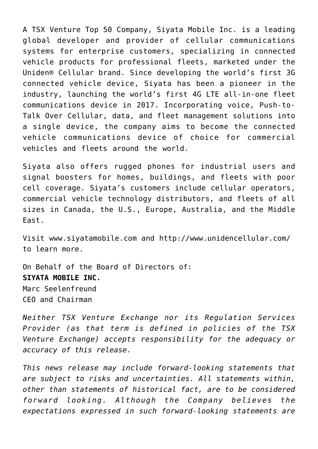A TSX Venture Top 50 Company, Siyata Mobile Inc. is a leading global developer and provider of cellular communications systems for enterprise customers, specializing in connected vehicle products for professional fleets, marketed under the Uniden® Cellular brand. Since developing the world's first 3G connected vehicle device, Siyata has been a pioneer in the industry, launching the world's first 4G LTE all-in-one fleet communications device in 2017. Incorporating voice, Push-to-Talk Over Cellular, data, and fleet management solutions into a single device, the company aims to become the connected vehicle communications device of choice for commercial vehicles and fleets around the world.

Siyata also offers rugged phones for industrial users and signal boosters for homes, buildings, and fleets with poor cell coverage. Siyata's customers include cellular operators, commercial vehicle technology distributors, and fleets of all sizes in Canada, the U.S., Europe, Australia, and the Middle East.

Visit [www.siyatamobile.com](http://www.siyatamobile.com/) and<http://www.unidencellular.com/> to learn more.

On Behalf of the Board of Directors of: **SIYATA MOBILE INC.** Marc Seelenfreund CEO and Chairman

*Neither TSX Venture Exchange nor its Regulation Services Provider (as that term is defined in policies of the TSX Venture Exchange) accepts responsibility for the adequacy or accuracy of this release.*

*This news release may include forward-looking statements that are subject to risks and uncertainties. All statements within, other than statements of historical fact, are to be considered forward looking. Although the Company believes the expectations expressed in such forward-looking statements are*